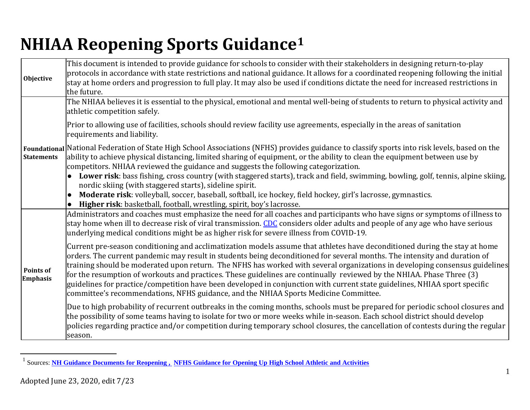# <span id="page-0-0"></span>**NHIAA Reopening Sports Guidance[1](#page-0-0)**

| Objective                           | This document is intended to provide guidance for schools to consider with their stakeholders in designing return-to-play<br>protocols in accordance with state restrictions and national guidance. It allows for a coordinated reopening following the initial<br>stay at home orders and progression to full play. It may also be used if conditions dictate the need for increased restrictions in<br>the future.                                                                                                                                                                                                                                                                                                                  |
|-------------------------------------|---------------------------------------------------------------------------------------------------------------------------------------------------------------------------------------------------------------------------------------------------------------------------------------------------------------------------------------------------------------------------------------------------------------------------------------------------------------------------------------------------------------------------------------------------------------------------------------------------------------------------------------------------------------------------------------------------------------------------------------|
|                                     | The NHIAA believes it is essential to the physical, emotional and mental well-being of students to return to physical activity and<br>athletic competition safely.                                                                                                                                                                                                                                                                                                                                                                                                                                                                                                                                                                    |
|                                     | Prior to allowing use of facilities, schools should review facility use agreements, especially in the areas of sanitation<br>requirements and liability.                                                                                                                                                                                                                                                                                                                                                                                                                                                                                                                                                                              |
| <b>Statements</b>                   | Foundational National Federation of State High School Associations (NFHS) provides guidance to classify sports into risk levels, based on the<br>ability to achieve physical distancing, limited sharing of equipment, or the ability to clean the equipment between use by<br>competitors. NHIAA reviewed the guidance and suggests the following categorization.                                                                                                                                                                                                                                                                                                                                                                    |
|                                     | Lower risk: bass fishing, cross country (with staggered starts), track and field, swimming, bowling, golf, tennis, alpine skiing,<br>nordic skiing (with staggered starts), sideline spirit.<br>Moderate risk: volleyball, soccer, baseball, softball, ice hockey, field hockey, girl's lacrosse, gymnastics.<br>$\bullet$<br>Higher risk: basketball, football, wrestling, spirit, boy's lacrosse.<br>$\bullet$                                                                                                                                                                                                                                                                                                                      |
|                                     | Administrators and coaches must emphasize the need for all coaches and participants who have signs or symptoms of illness to<br>stay home when ill to decrease risk of viral transmission. CDC considers older adults and people of any age who have serious<br>underlying medical conditions might be as higher risk for severe illness from COVID-19.                                                                                                                                                                                                                                                                                                                                                                               |
| <b>Points of</b><br><b>Emphasis</b> | Current pre-season conditioning and acclimatization models assume that athletes have deconditioned during the stay at home<br>orders. The current pandemic may result in students being deconditioned for several months. The intensity and duration of<br>training should be moderated upon return. The NFHS has worked with several organizations in developing consensus guidelines<br>for the resumption of workouts and practices. These guidelines are continually reviewed by the NHIAA. Phase Three (3)<br>guidelines for practice/competition have been developed in conjunction with current state guidelines, NHIAA sport specific<br>committee's recommendations, NFHS guidance, and the NHIAA Sports Medicine Committee. |
|                                     | Due to high probability of recurrent outbreaks in the coming months, schools must be prepared for periodic school closures and<br>the possibility of some teams having to isolate for two or more weeks while in-season. Each school district should develop<br>policies regarding practice and/or competition during temporary school closures, the cancellation of contests during the regular<br>season.                                                                                                                                                                                                                                                                                                                           |

 <sup>1</sup> Sources: **[NH Guidance Documents for Reopening](https://www.covidguidance.nh.gov/) , [NFHS Guidance for Opening Up High School Athletic and Activities](https://www.nfhs.org/media/3812287/2020-nfhs-guidance-for-opening-up-high-school-athletics-and-activities-nfhs-smac-may-15_2020-final.pdf)**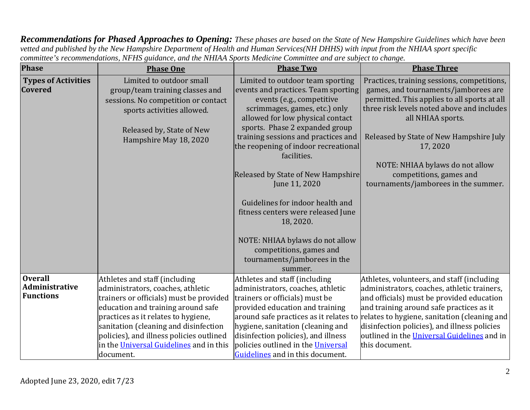*Recommendations for Phased Approaches to Opening: These phases are based on the State of New Hampshire Guidelines which have been vetted and published by the New Hampshire Department of Health and Human Services(NH DHHS) with input from the NHIAA sport specific committee's recommendations, NFHS guidance, and the NHIAA Sports Medicine Committee and are subject to change.*

| <b>Phase</b>                                         | <b>Phase One</b>                                                                                                                                                                                                                                                                                                                        | <b>Phase Two</b>                                                                                                                                                                                                                                                                                                                                                                                                                                                                                                                                                 | <b>Phase Three</b>                                                                                                                                                                                                                                                                                                                                                                         |
|------------------------------------------------------|-----------------------------------------------------------------------------------------------------------------------------------------------------------------------------------------------------------------------------------------------------------------------------------------------------------------------------------------|------------------------------------------------------------------------------------------------------------------------------------------------------------------------------------------------------------------------------------------------------------------------------------------------------------------------------------------------------------------------------------------------------------------------------------------------------------------------------------------------------------------------------------------------------------------|--------------------------------------------------------------------------------------------------------------------------------------------------------------------------------------------------------------------------------------------------------------------------------------------------------------------------------------------------------------------------------------------|
| <b>Types of Activities</b><br><b>Covered</b>         | Limited to outdoor small<br>group/team training classes and<br>sessions. No competition or contact<br>sports activities allowed.<br>Released by, State of New<br>Hampshire May 18, 2020                                                                                                                                                 | Limited to outdoor team sporting<br>events and practices. Team sporting<br>events (e.g., competitive<br>scrimmages, games, etc.) only<br>allowed for low physical contact<br>sports. Phase 2 expanded group<br>training sessions and practices and<br>the reopening of indoor recreational<br>facilities.<br>Released by State of New Hampshire<br>June 11, 2020<br>Guidelines for indoor health and<br>fitness centers were released June<br>18, 2020.<br>NOTE: NHIAA bylaws do not allow<br>competitions, games and<br>tournaments/jamborees in the<br>summer. | Practices, training sessions, competitions,<br>games, and tournaments/jamborees are<br>permitted. This applies to all sports at all<br>three risk levels noted above and includes<br>all NHIAA sports.<br>Released by State of New Hampshire July<br>17,2020<br>NOTE: NHIAA bylaws do not allow<br>competitions, games and<br>tournaments/jamborees in the summer.                         |
| <b>Overall</b><br>Administrative<br><b>Functions</b> | Athletes and staff (including<br>administrators, coaches, athletic<br>trainers or officials) must be provided<br>education and training around safe<br>practices as it relates to hygiene,<br>sanitation (cleaning and disinfection<br>policies), and illness policies outlined<br>in the Universal Guidelines and in this<br>document. | Athletes and staff (including<br>administrators, coaches, athletic<br>trainers or officials) must be<br>provided education and training<br>hygiene, sanitation (cleaning and<br>disinfection policies), and illness<br>policies outlined in the Universal<br>Guidelines and in this document.                                                                                                                                                                                                                                                                    | Athletes, volunteers, and staff (including<br>administrators, coaches, athletic trainers,<br>and officials) must be provided education<br>and training around safe practices as it<br>around safe practices as it relates to relates to hygiene, sanitation (cleaning and<br>disinfection policies), and illness policies<br>outlined in the Universal Guidelines and in<br>this document. |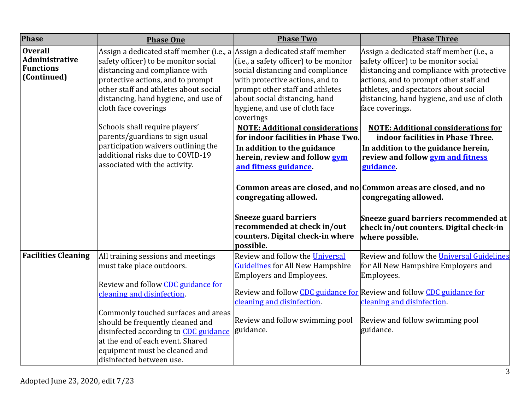| <b>Phase</b>                                                               | <b>Phase One</b>                                                                                                                                                                                                                                                                                                                                                                                                                                  | <b>Phase Two</b>                                                                                                                                                                                                                                                                                                                                                                                                                                                                                                                                                                                                                                          | <b>Phase Three</b>                                                                                                                                                                                                                                                                                                                                                                                                                                                                                                                                                                                  |
|----------------------------------------------------------------------------|---------------------------------------------------------------------------------------------------------------------------------------------------------------------------------------------------------------------------------------------------------------------------------------------------------------------------------------------------------------------------------------------------------------------------------------------------|-----------------------------------------------------------------------------------------------------------------------------------------------------------------------------------------------------------------------------------------------------------------------------------------------------------------------------------------------------------------------------------------------------------------------------------------------------------------------------------------------------------------------------------------------------------------------------------------------------------------------------------------------------------|-----------------------------------------------------------------------------------------------------------------------------------------------------------------------------------------------------------------------------------------------------------------------------------------------------------------------------------------------------------------------------------------------------------------------------------------------------------------------------------------------------------------------------------------------------------------------------------------------------|
| <b>Overall</b><br><b>Administrative</b><br><b>Functions</b><br>(Continued) | Assign a dedicated staff member (i.e., a<br>safety officer) to be monitor social<br>distancing and compliance with<br>protective actions, and to prompt<br>other staff and athletes about social<br>distancing, hand hygiene, and use of<br>cloth face coverings<br>Schools shall require players'<br>parents/guardians to sign usual<br>participation waivers outlining the<br>additional risks due to COVID-19<br>associated with the activity. | Assign a dedicated staff member<br>(i.e., a safety officer) to be monitor<br>social distancing and compliance<br>with protective actions, and to<br>prompt other staff and athletes<br>about social distancing, hand<br>hygiene, and use of cloth face<br>coverings<br><b>NOTE: Additional considerations</b><br>for indoor facilities in Phase Two.<br>In addition to the guidance<br>herein, review and follow gym<br>and fitness guidance.<br>Common areas are closed, and no Common areas are closed, and no<br>congregating allowed.<br><b>Sneeze guard barriers</b><br>recommended at check in/out<br>counters. Digital check-in where<br>possible. | Assign a dedicated staff member (i.e., a<br>safety officer) to be monitor social<br>distancing and compliance with protective<br>actions, and to prompt other staff and<br>athletes, and spectators about social<br>distancing, hand hygiene, and use of cloth<br>face coverings.<br><b>NOTE: Additional considerations for</b><br>indoor facilities in Phase Three.<br>In addition to the guidance herein,<br>review and follow <b>gym and fitness</b><br>guidance.<br>congregating allowed.<br>Sneeze guard barriers recommended at<br>check in/out counters. Digital check-in<br>where possible. |
| <b>Facilities Cleaning</b>                                                 | All training sessions and meetings<br>must take place outdoors.<br>Review and follow CDC guidance for<br>cleaning and disinfection.                                                                                                                                                                                                                                                                                                               | Review and follow the Universal<br><b>Guidelines</b> for All New Hampshire<br><b>Employers and Employees.</b><br>Review and follow CDC guidance for Review and follow CDC guidance for                                                                                                                                                                                                                                                                                                                                                                                                                                                                    | Review and follow the Universal Guidelines<br>for All New Hampshire Employers and<br>Employees.                                                                                                                                                                                                                                                                                                                                                                                                                                                                                                     |
|                                                                            | Commonly touched surfaces and areas<br>should be frequently cleaned and<br>disinfected according to CDC guidance<br>at the end of each event. Shared<br>equipment must be cleaned and<br>disinfected between use.                                                                                                                                                                                                                                 | cleaning and disinfection.<br>Review and follow swimming pool<br>guidance.                                                                                                                                                                                                                                                                                                                                                                                                                                                                                                                                                                                | cleaning and disinfection.<br>Review and follow swimming pool<br>guidance.                                                                                                                                                                                                                                                                                                                                                                                                                                                                                                                          |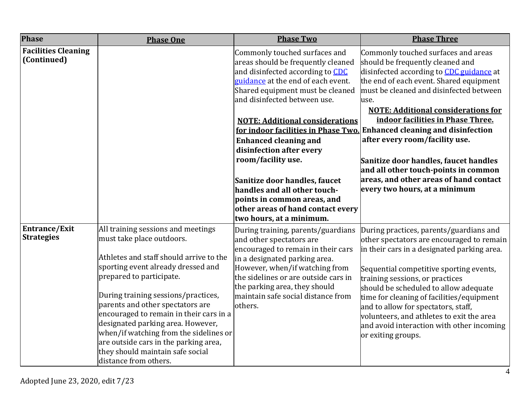| Phase                                     | <b>Phase One</b>                                                                                                                                                                                                                                                                                                                                                                                                                                                                        | <b>Phase Two</b>                                                                                                                                                                                                                                                                                                                                                                                                                                                                                               | <b>Phase Three</b>                                                                                                                                                                                                                                                                                                                                                                                                                                                                                                                                                                  |
|-------------------------------------------|-----------------------------------------------------------------------------------------------------------------------------------------------------------------------------------------------------------------------------------------------------------------------------------------------------------------------------------------------------------------------------------------------------------------------------------------------------------------------------------------|----------------------------------------------------------------------------------------------------------------------------------------------------------------------------------------------------------------------------------------------------------------------------------------------------------------------------------------------------------------------------------------------------------------------------------------------------------------------------------------------------------------|-------------------------------------------------------------------------------------------------------------------------------------------------------------------------------------------------------------------------------------------------------------------------------------------------------------------------------------------------------------------------------------------------------------------------------------------------------------------------------------------------------------------------------------------------------------------------------------|
| <b>Facilities Cleaning</b><br>(Continued) |                                                                                                                                                                                                                                                                                                                                                                                                                                                                                         | Commonly touched surfaces and<br>areas should be frequently cleaned<br>and disinfected according to CDC<br>guidance at the end of each event.<br>Shared equipment must be cleaned<br>and disinfected between use.<br><b>NOTE: Additional considerations</b><br><b>Enhanced cleaning and</b><br>disinfection after every<br>room/facility use.<br>Sanitize door handles, faucet<br>handles and all other touch-<br>points in common areas, and<br>other areas of hand contact every<br>two hours, at a minimum. | Commonly touched surfaces and areas<br>should be frequently cleaned and<br>disinfected according to <b>CDC</b> guidance at<br>the end of each event. Shared equipment<br>must be cleaned and disinfected between<br>use.<br><b>NOTE: Additional considerations for</b><br>indoor facilities in Phase Three.<br>for indoor facilities in Phase Two. Enhanced cleaning and disinfection<br>after every room/facility use.<br>Sanitize door handles, faucet handles<br>and all other touch-points in common<br>areas, and other areas of hand contact<br>every two hours, at a minimum |
| Entrance/Exit<br><b>Strategies</b>        | All training sessions and meetings<br>must take place outdoors.<br>Athletes and staff should arrive to the<br>sporting event already dressed and<br>prepared to participate.<br>During training sessions/practices,<br>parents and other spectators are<br>encouraged to remain in their cars in a<br>designated parking area. However,<br>when/if watching from the sidelines or<br>are outside cars in the parking area,<br>they should maintain safe social<br>distance from others. | During training, parents/guardians<br>and other spectators are<br>encouraged to remain in their cars<br>in a designated parking area.<br>However, when/if watching from<br>the sidelines or are outside cars in<br>the parking area, they should<br>maintain safe social distance from<br>others.                                                                                                                                                                                                              | During practices, parents/guardians and<br>other spectators are encouraged to remain<br>in their cars in a designated parking area.<br>Sequential competitive sporting events,<br>training sessions, or practices<br>should be scheduled to allow adequate<br>time for cleaning of facilities/equipment<br>and to allow for spectators, staff,<br>volunteers, and athletes to exit the area<br>and avoid interaction with other incoming<br>or exiting groups.                                                                                                                      |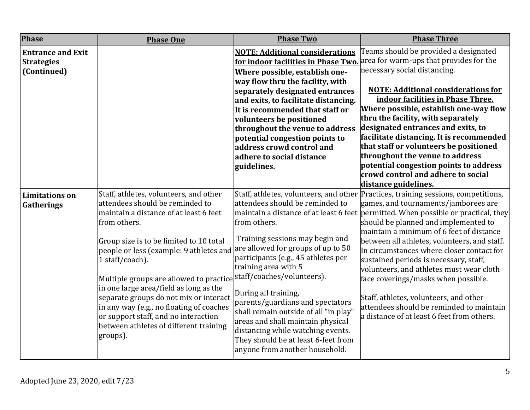| <b>Phase</b>                                                 | <b>Phase One</b>                                                                                                                                                                                                                                                                                                                                                                                                                                                                                                      | <b>Phase Two</b>                                                                                                                                                                                                                                                                                                                                                                                                                                                              | <b>Phase Three</b>                                                                                                                                                                                                                                                                                                                                                                                                                                                                                                                                                                                                                                                                         |
|--------------------------------------------------------------|-----------------------------------------------------------------------------------------------------------------------------------------------------------------------------------------------------------------------------------------------------------------------------------------------------------------------------------------------------------------------------------------------------------------------------------------------------------------------------------------------------------------------|-------------------------------------------------------------------------------------------------------------------------------------------------------------------------------------------------------------------------------------------------------------------------------------------------------------------------------------------------------------------------------------------------------------------------------------------------------------------------------|--------------------------------------------------------------------------------------------------------------------------------------------------------------------------------------------------------------------------------------------------------------------------------------------------------------------------------------------------------------------------------------------------------------------------------------------------------------------------------------------------------------------------------------------------------------------------------------------------------------------------------------------------------------------------------------------|
| <b>Entrance and Exit</b><br><b>Strategies</b><br>(Continued) |                                                                                                                                                                                                                                                                                                                                                                                                                                                                                                                       | <b>NOTE: Additional considerations</b><br>Where possible, establish one-<br>way flow thru the facility, with<br>separately designated entrances<br>and exits, to facilitate distancing.<br>It is recommended that staff or<br>volunteers be positioned<br>throughout the venue to address<br>potential congestion points to<br>address crowd control and<br>adhere to social distance<br>guidelines.                                                                          | Teams should be provided a designated<br>for indoor facilities in Phase Two. area for warm-ups that provides for the<br>necessary social distancing.<br><b>NOTE: Additional considerations for</b><br>indoor facilities in Phase Three.<br>Where possible, establish one-way flow<br>thru the facility, with separately<br>designated entrances and exits, to<br>facilitate distancing. It is recommended<br>that staff or volunteers be positioned<br>throughout the venue to address<br>potential congestion points to address<br>crowd control and adhere to social                                                                                                                     |
| <b>Limitations on</b><br>Gatherings                          | Staff, athletes, volunteers, and other<br>attendees should be reminded to<br>maintain a distance of at least 6 feet<br>from others.<br>Group size is to be limited to 10 total<br>people or less (example: 9 athletes and<br>1 staff/coach).<br>Multiple groups are allowed to practice<br>in one large area/field as long as the<br>separate groups do not mix or interact<br>in any way (e.g., no floating of coaches<br>or support staff, and no interaction<br>between athletes of different training<br>groups). | attendees should be reminded to<br>from others.<br>Training sessions may begin and<br>are allowed for groups of up to 50<br>participants (e.g., 45 athletes per<br>training area with 5<br>staff/coaches/volunteers).<br>During all training,<br>parents/guardians and spectators<br>shall remain outside of all "in play"<br>areas and shall maintain physical<br>distancing while watching events.<br>They should be at least 6-feet from<br>anyone from another household. | distance guidelines.<br>Staff, athletes, volunteers, and other Practices, training sessions, competitions,<br>games, and tournaments/jamborees are<br>maintain a distance of at least 6 feet permitted. When possible or practical, they<br>should be planned and implemented to<br>maintain a minimum of 6 feet of distance<br>between all athletes, volunteers, and staff.<br>In circumstances where closer contact for<br>sustained periods is necessary, staff,<br>volunteers, and athletes must wear cloth<br>face coverings/masks when possible.<br>Staff, athletes, volunteers, and other<br>attendees should be reminded to maintain<br>a distance of at least 6 feet from others. |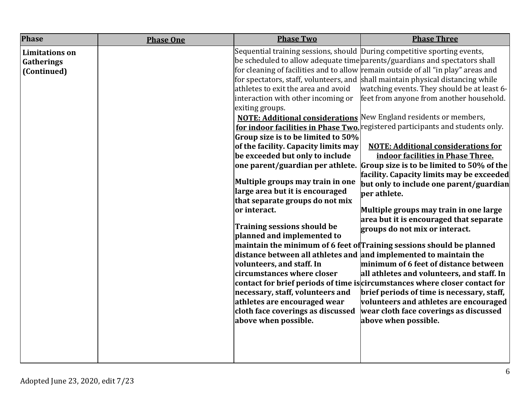| <b>Phase</b>                                       | <b>Phase One</b> | <b>Phase Two</b>                                                                                                                                                                                                                                                                                                                                                                                                                                                                                                                                                                                                                                                                                                                                                                             | <b>Phase Three</b>                                                                                                                                                                                                                                                                                                                                                                                                                                                                                                                                                                                                                                                                                                                                                                                                                                                                                                                                                                                                                                                                                                                                                                                                                                                                  |
|----------------------------------------------------|------------------|----------------------------------------------------------------------------------------------------------------------------------------------------------------------------------------------------------------------------------------------------------------------------------------------------------------------------------------------------------------------------------------------------------------------------------------------------------------------------------------------------------------------------------------------------------------------------------------------------------------------------------------------------------------------------------------------------------------------------------------------------------------------------------------------|-------------------------------------------------------------------------------------------------------------------------------------------------------------------------------------------------------------------------------------------------------------------------------------------------------------------------------------------------------------------------------------------------------------------------------------------------------------------------------------------------------------------------------------------------------------------------------------------------------------------------------------------------------------------------------------------------------------------------------------------------------------------------------------------------------------------------------------------------------------------------------------------------------------------------------------------------------------------------------------------------------------------------------------------------------------------------------------------------------------------------------------------------------------------------------------------------------------------------------------------------------------------------------------|
| <b>Limitations</b> on<br>Gatherings<br>(Continued) |                  | Sequential training sessions, should During competitive sporting events,<br>athletes to exit the area and avoid<br>interaction with other incoming or<br>exiting groups.<br>Group size is to be limited to 50%<br>of the facility. Capacity limits may<br>be exceeded but only to include<br>one parent/guardian per athlete.<br>Multiple groups may train in one<br>large area but it is encouraged<br>that separate groups do not mix<br>or interact.<br><b>Training sessions should be</b><br>planned and implemented to<br>distance between all athletes and and implemented to maintain the<br>volunteers, and staff. In<br>circumstances where closer<br>necessary, staff, volunteers and<br>athletes are encouraged wear<br>cloth face coverings as discussed<br>above when possible. | be scheduled to allow adequate time parents/guardians and spectators shall<br>for cleaning of facilities and to allow remain outside of all "in play" areas and<br>for spectators, staff, volunteers, and shall maintain physical distancing while<br>watching events. They should be at least 6-<br>feet from anyone from another household.<br><b>NOTE: Additional considerations</b> New England residents or members,<br>for indoor facilities in Phase Two. registered participants and students only.<br><b>NOTE: Additional considerations for</b><br>indoor facilities in Phase Three.<br>Group size is to be limited to 50% of the<br>facility. Capacity limits may be exceeded<br>but only to include one parent/guardian<br>ber athlete.<br>Multiple groups may train in one large<br>area but it is encouraged that separate<br>groups do not mix or interact.<br>maintain the minimum of 6 feet of Training sessions should be planned<br>minimum of 6 feet of distance between<br>all athletes and volunteers, and staff. In<br>contact for brief periods of time is circumstances where closer contact for<br>brief periods of time is necessary, staff,<br>volunteers and athletes are encouraged<br>wear cloth face coverings as discussed<br>above when possible. |
|                                                    |                  |                                                                                                                                                                                                                                                                                                                                                                                                                                                                                                                                                                                                                                                                                                                                                                                              |                                                                                                                                                                                                                                                                                                                                                                                                                                                                                                                                                                                                                                                                                                                                                                                                                                                                                                                                                                                                                                                                                                                                                                                                                                                                                     |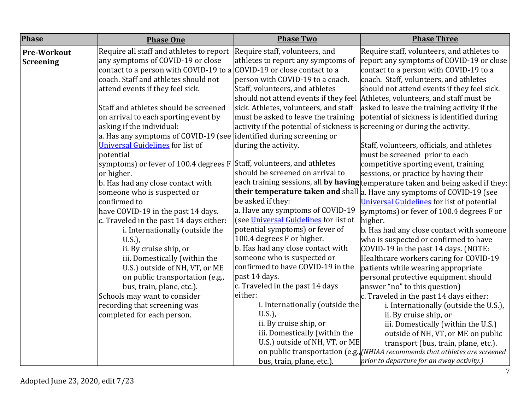| <b>Phase</b>       | <b>Phase One</b>                                                      | <b>Phase Two</b>                                                           | <b>Phase Three</b>                                                               |
|--------------------|-----------------------------------------------------------------------|----------------------------------------------------------------------------|----------------------------------------------------------------------------------|
| <b>Pre-Workout</b> | Require all staff and athletes to report                              | Require staff, volunteers, and                                             | Require staff, volunteers, and athletes to                                       |
| Screening          | any symptoms of COVID-19 or close                                     | athletes to report any symptoms of                                         | report any symptoms of COVID-19 or close                                         |
|                    | contact to a person with COVID-19 to a COVID-19 or close contact to a |                                                                            | contact to a person with COVID-19 to a                                           |
|                    | coach. Staff and athletes should not                                  | person with COVID-19 to a coach.                                           | coach. Staff, volunteers, and athletes                                           |
|                    | attend events if they feel sick.                                      | Staff, volunteers, and athletes                                            | should not attend events if they feel sick.                                      |
|                    |                                                                       | should not attend events if they feel                                      | Athletes, volunteers, and staff must be                                          |
|                    | Staff and athletes should be screened                                 | sick. Athletes, volunteers, and staff                                      | asked to leave the training activity if the                                      |
|                    | on arrival to each sporting event by                                  | must be asked to leave the training                                        | potential of sickness is identified during                                       |
|                    | asking if the individual:                                             | activity if the potential of sickness is screening or during the activity. |                                                                                  |
|                    | a. Has any symptoms of COVID-19 (see                                  | identified during screening or                                             |                                                                                  |
|                    | <b>Universal Guidelines</b> for list of                               | during the activity.                                                       | Staff, volunteers, officials, and athletes                                       |
|                    | potential                                                             |                                                                            | must be screened prior to each                                                   |
|                    | symptoms) or fever of 100.4 degrees F                                 | Staff, volunteers, and athletes                                            | competitive sporting event, training                                             |
|                    | or higher.                                                            | should be screened on arrival to                                           | sessions, or practice by having their                                            |
|                    | b. Has had any close contact with                                     |                                                                            | each training sessions, all by having temperature taken and being asked if they: |
|                    | someone who is suspected or                                           |                                                                            | their temperature taken and shall a. Have any symptoms of COVID-19 (see          |
|                    | confirmed to                                                          | be asked if they:                                                          | Universal Guidelines for list of potential                                       |
|                    | have COVID-19 in the past 14 days.                                    | a. Have any symptoms of COVID-19                                           | symptoms) or fever of 100.4 degrees F or                                         |
|                    | c. Traveled in the past 14 days either:                               | (see Universal Guidelines for list of                                      | higher.                                                                          |
|                    | i. Internationally (outside the                                       | potential symptoms) or fever of                                            | b. Has had any close contact with someone                                        |
|                    | $U.S.$ ),                                                             | 100.4 degrees F or higher.                                                 | who is suspected or confirmed to have                                            |
|                    | ii. By cruise ship, or                                                | b. Has had any close contact with                                          | COVID-19 in the past 14 days. (NOTE:                                             |
|                    | iii. Domestically (within the                                         | someone who is suspected or                                                | Healthcare workers caring for COVID-19                                           |
|                    | U.S.) outside of NH, VT, or ME                                        | confirmed to have COVID-19 in the                                          | patients while wearing appropriate                                               |
|                    | on public transportation (e.g.,                                       | past 14 days.                                                              | personal protective equipment should                                             |
|                    | bus, train, plane, etc.).                                             | c. Traveled in the past 14 days                                            | answer "no" to this question)                                                    |
|                    | Schools may want to consider                                          | either:                                                                    | c. Traveled in the past 14 days either:                                          |
|                    | recording that screening was                                          | i. Internationally (outside the                                            | i. Internationally (outside the U.S.),                                           |
|                    | completed for each person.                                            | $U.S.$ ),                                                                  | ii. By cruise ship, or                                                           |
|                    |                                                                       | ii. By cruise ship, or                                                     | iii. Domestically (within the U.S.)                                              |
|                    |                                                                       | iii. Domestically (within the                                              | outside of NH, VT, or ME on public                                               |
|                    |                                                                       | U.S.) outside of NH, VT, or ME                                             | transport (bus, train, plane, etc.).                                             |
|                    |                                                                       |                                                                            | on public transportation (e.g., [NHIAA recommends that athletes are screened     |
|                    |                                                                       | bus, train, plane, etc.).                                                  | prior to departure for an away activity.)                                        |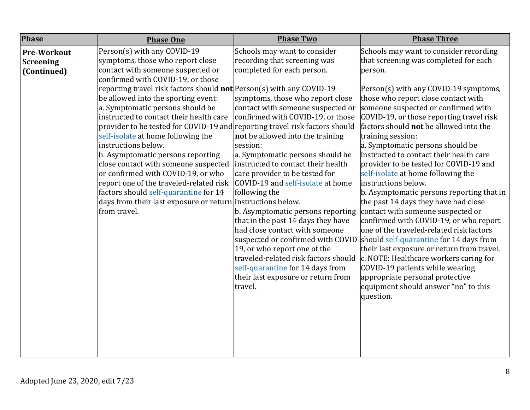|                                                                       | <b>Phase One</b>                                                                                                                                                                                                                                                                                                                                                                                                                                                                                                                                                                                                                                                                                                                                                            | <b>Phase Two</b>                                                                                                                                                                                                                                                                                                                                                                                                                                                | <b>Phase Three</b>                                                                                                                                                                                                                                                                                                                                                                                                                                                                                                                                                                                                                                  |
|-----------------------------------------------------------------------|-----------------------------------------------------------------------------------------------------------------------------------------------------------------------------------------------------------------------------------------------------------------------------------------------------------------------------------------------------------------------------------------------------------------------------------------------------------------------------------------------------------------------------------------------------------------------------------------------------------------------------------------------------------------------------------------------------------------------------------------------------------------------------|-----------------------------------------------------------------------------------------------------------------------------------------------------------------------------------------------------------------------------------------------------------------------------------------------------------------------------------------------------------------------------------------------------------------------------------------------------------------|-----------------------------------------------------------------------------------------------------------------------------------------------------------------------------------------------------------------------------------------------------------------------------------------------------------------------------------------------------------------------------------------------------------------------------------------------------------------------------------------------------------------------------------------------------------------------------------------------------------------------------------------------------|
| <b>Phase</b><br><b>Pre-Workout</b><br><b>Screening</b><br>(Continued) | Person(s) with any COVID-19<br>symptoms, those who report close<br>contact with someone suspected or<br>confirmed with COVID-19, or those<br>reporting travel risk factors should $not$ Person(s) with any COVID-19<br>be allowed into the sporting event:<br>a. Symptomatic persons should be<br>instructed to contact their health care<br>provider to be tested for COVID-19 and reporting travel risk factors should<br>self-isolate at home following the<br>instructions below.<br>b. Asymptomatic persons reporting<br>close contact with someone suspected<br>or confirmed with COVID-19, or who<br>report one of the traveled-related risk<br>factors should self-quarantine for 14<br>days from their last exposure or return instructions below.<br>from travel. | Schools may want to consider<br>recording that screening was<br>completed for each person.<br>symptoms, those who report close<br>contact with someone suspected or<br>confirmed with COVID-19, or those<br>not be allowed into the training<br>session:<br>a. Symptomatic persons should be<br>instructed to contact their health<br>care provider to be tested for<br>COVID-19 and self-isolate at home<br>following the<br>b. Asymptomatic persons reporting | Schools may want to consider recording<br>that screening was completed for each<br>person.<br>Person(s) with any COVID-19 symptoms,<br>those who report close contact with<br>someone suspected or confirmed with<br>COVID-19, or those reporting travel risk<br>factors should <b>not</b> be allowed into the<br>training session:<br>a. Symptomatic persons should be<br>instructed to contact their health care<br>provider to be tested for COVID-19 and<br>self-isolate at home following the<br>instructions below.<br>b. Asymptomatic persons reporting that in<br>the past 14 days they have had close<br>contact with someone suspected or |
|                                                                       |                                                                                                                                                                                                                                                                                                                                                                                                                                                                                                                                                                                                                                                                                                                                                                             | that in the past 14 days they have<br>had close contact with someone<br>19, or who report one of the<br>traveled-related risk factors should<br>self-quarantine for 14 days from<br>their last exposure or return from<br>travel.                                                                                                                                                                                                                               | confirmed with COVID-19, or who report<br>one of the traveled-related risk factors<br>suspected or confirmed with COVID-should self-quarantine for 14 days from<br>their last exposure or return from travel.<br>c. NOTE: Healthcare workers caring for<br>COVID-19 patients while wearing<br>appropriate personal protective<br>equipment should answer "no" to this<br>question.                                                                                                                                                                                                                                                                  |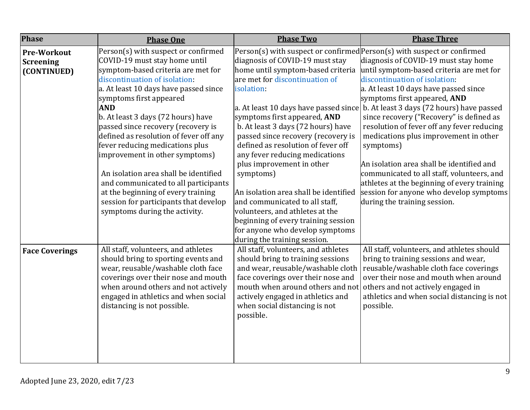| <b>Phase</b>                                          | <b>Phase One</b>                                                                                                                                                                                                                                                                                                                                                                                                                                                                                                                                                                                                          | <b>Phase Two</b>                                                                                                                                                                                                                                                                                                                                                                                                                                                                                                                                                           | <b>Phase Three</b>                                                                                                                                                                                                                                                                                                                                                                                                                                                                                                                                                                                                                                                                                                            |
|-------------------------------------------------------|---------------------------------------------------------------------------------------------------------------------------------------------------------------------------------------------------------------------------------------------------------------------------------------------------------------------------------------------------------------------------------------------------------------------------------------------------------------------------------------------------------------------------------------------------------------------------------------------------------------------------|----------------------------------------------------------------------------------------------------------------------------------------------------------------------------------------------------------------------------------------------------------------------------------------------------------------------------------------------------------------------------------------------------------------------------------------------------------------------------------------------------------------------------------------------------------------------------|-------------------------------------------------------------------------------------------------------------------------------------------------------------------------------------------------------------------------------------------------------------------------------------------------------------------------------------------------------------------------------------------------------------------------------------------------------------------------------------------------------------------------------------------------------------------------------------------------------------------------------------------------------------------------------------------------------------------------------|
| <b>Pre-Workout</b><br><b>Screening</b><br>(CONTINUED) | Person(s) with suspect or confirmed<br>COVID-19 must stay home until<br>symptom-based criteria are met for<br>discontinuation of isolation.<br>a. At least 10 days have passed since<br>symptoms first appeared<br><b>AND</b><br>b. At least 3 days (72 hours) have<br>passed since recovery (recovery is<br>defined as resolution of fever off any<br>fever reducing medications plus<br>improvement in other symptoms)<br>An isolation area shall be identified<br>and communicated to all participants<br>at the beginning of every training<br>session for participants that develop<br>symptoms during the activity. | diagnosis of COVID-19 must stay<br>home until symptom-based criteria<br>are met for discontinuation of<br>isolation:<br>symptoms first appeared, AND<br>b. At least 3 days (72 hours) have<br>passed since recovery (recovery is<br>defined as resolution of fever off<br>any fever reducing medications<br>plus improvement in other<br>symptoms)<br>An isolation area shall be identified<br>and communicated to all staff,<br>volunteers, and athletes at the<br>beginning of every training session<br>for anyone who develop symptoms<br>during the training session. | Person(s) with suspect or confirmed Person(s) with suspect or confirmed<br>diagnosis of COVID-19 must stay home<br>until symptom-based criteria are met for<br>discontinuation of isolation:<br>a. At least 10 days have passed since<br>symptoms first appeared, AND<br>a. At least 10 days have passed since b. At least 3 days (72 hours) have passed<br>since recovery ("Recovery" is defined as<br>resolution of fever off any fever reducing<br>medications plus improvement in other<br>symptoms)<br>An isolation area shall be identified and<br>communicated to all staff, volunteers, and<br>athletes at the beginning of every training<br>session for anyone who develop symptoms<br>during the training session. |
| <b>Face Coverings</b>                                 | All staff, volunteers, and athletes<br>should bring to sporting events and<br>wear, reusable/washable cloth face<br>coverings over their nose and mouth<br>when around others and not actively<br>engaged in athletics and when social<br>distancing is not possible.                                                                                                                                                                                                                                                                                                                                                     | All staff, volunteers, and athletes<br>should bring to training sessions<br>and wear, reusable/washable cloth<br>face coverings over their nose and<br>mouth when around others and not<br>actively engaged in athletics and<br>when social distancing is not<br>possible.                                                                                                                                                                                                                                                                                                 | All staff, volunteers, and athletes should<br>bring to training sessions and wear,<br>reusable/washable cloth face coverings<br>over their nose and mouth when around<br>others and not actively engaged in<br>athletics and when social distancing is not<br>possible.                                                                                                                                                                                                                                                                                                                                                                                                                                                       |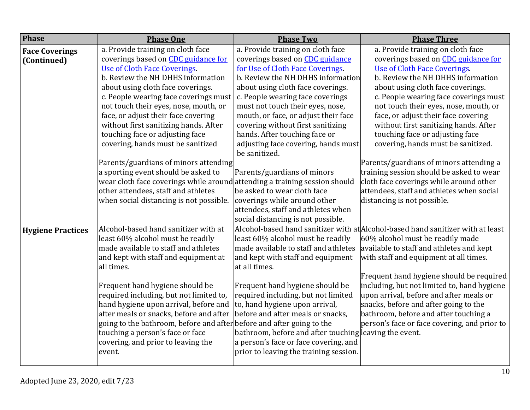| <b>Phase</b>             | <b>Phase One</b>                                                           | <b>Phase Two</b>                                       | <b>Phase Three</b>                                                              |
|--------------------------|----------------------------------------------------------------------------|--------------------------------------------------------|---------------------------------------------------------------------------------|
| <b>Face Coverings</b>    | a. Provide training on cloth face                                          | a. Provide training on cloth face                      | a. Provide training on cloth face                                               |
| (Continued)              | coverings based on <b>CDC</b> guidance for                                 | coverings based on <b>CDC</b> guidance                 | coverings based on CDC guidance for                                             |
|                          | Use of Cloth Face Coverings.                                               | for Use of Cloth Face Coverings.                       | Use of Cloth Face Coverings.                                                    |
|                          | b. Review the NH DHHS information                                          | b. Review the NH DHHS information                      | b. Review the NH DHHS information                                               |
|                          | about using cloth face coverings.                                          | about using cloth face coverings.                      | about using cloth face coverings.                                               |
|                          | c. People wearing face coverings must                                      | c. People wearing face coverings                       | c. People wearing face coverings must                                           |
|                          | not touch their eyes, nose, mouth, or                                      | must not touch their eyes, nose,                       | not touch their eyes, nose, mouth, or                                           |
|                          | face, or adjust their face covering                                        | mouth, or face, or adjust their face                   | face, or adjust their face covering                                             |
|                          | without first sanitizing hands. After                                      | covering without first sanitizing                      | without first sanitizing hands. After                                           |
|                          | touching face or adjusting face                                            | hands. After touching face or                          | touching face or adjusting face                                                 |
|                          | covering, hands must be sanitized                                          | adjusting face covering, hands must<br>be sanitized.   | covering, hands must be sanitized.                                              |
|                          | Parents/guardians of minors attending                                      |                                                        | Parents/guardians of minors attending a                                         |
|                          | a sporting event should be asked to                                        | Parents/guardians of minors                            | training session should be asked to wear                                        |
|                          | wear cloth face coverings while around attending a training session should |                                                        | cloth face coverings while around other                                         |
|                          | other attendees, staff and athletes                                        | be asked to wear cloth face                            | attendees, staff and athletes when social                                       |
|                          | when social distancing is not possible.                                    | coverings while around other                           | distancing is not possible.                                                     |
|                          |                                                                            | attendees, staff and athletes when                     |                                                                                 |
|                          |                                                                            | social distancing is not possible.                     |                                                                                 |
| <b>Hygiene Practices</b> | Alcohol-based hand sanitizer with at                                       |                                                        | Alcohol-based hand sanitizer with at Alcohol-based hand sanitizer with at least |
|                          | least 60% alcohol must be readily                                          | least 60% alcohol must be readily                      | 60% alcohol must be readily made                                                |
|                          | made available to staff and athletes                                       | made available to staff and athletes                   | available to staff and athletes and kept                                        |
|                          | and kept with staff and equipment at<br>all times.                         | and kept with staff and equipment<br>at all times.     | with staff and equipment at all times.                                          |
|                          |                                                                            |                                                        | Frequent hand hygiene should be required                                        |
|                          | Frequent hand hygiene should be                                            | Frequent hand hygiene should be                        | including, but not limited to, hand hygiene                                     |
|                          | required including, but not limited to,                                    | required including, but not limited                    | upon arrival, before and after meals or                                         |
|                          | hand hygiene upon arrival, before and                                      | to, hand hygiene upon arrival,                         | snacks, before and after going to the                                           |
|                          | after meals or snacks, before and after                                    | before and after meals or snacks,                      | bathroom, before and after touching a                                           |
|                          | going to the bathroom, before and after before and after going to the      |                                                        | person's face or face covering, and prior to                                    |
|                          | touching a person's face or face                                           | bathroom, before and after touching leaving the event. |                                                                                 |
|                          | covering, and prior to leaving the                                         | a person's face or face covering, and                  |                                                                                 |
|                          | event.                                                                     | prior to leaving the training session.                 |                                                                                 |
|                          |                                                                            |                                                        |                                                                                 |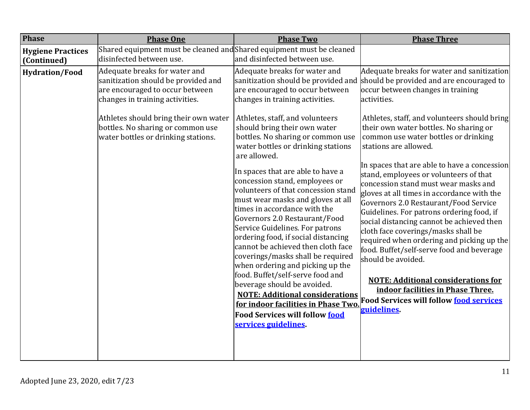| <b>Phase</b>                            | <b>Phase One</b>                                                                                                                                                                                                                                                | <b>Phase Two</b>                                                                                                                                                                                                                                                                                                                                                                                                                                                                                                                                                                                                                                                                                                                                                                                                                                                            | <b>Phase Three</b>                                                                                                                                                                                                                                                                                                                                                                                                                                                                                                                                                                                                                                                                                                                                                                                                                                                                                                                                              |
|-----------------------------------------|-----------------------------------------------------------------------------------------------------------------------------------------------------------------------------------------------------------------------------------------------------------------|-----------------------------------------------------------------------------------------------------------------------------------------------------------------------------------------------------------------------------------------------------------------------------------------------------------------------------------------------------------------------------------------------------------------------------------------------------------------------------------------------------------------------------------------------------------------------------------------------------------------------------------------------------------------------------------------------------------------------------------------------------------------------------------------------------------------------------------------------------------------------------|-----------------------------------------------------------------------------------------------------------------------------------------------------------------------------------------------------------------------------------------------------------------------------------------------------------------------------------------------------------------------------------------------------------------------------------------------------------------------------------------------------------------------------------------------------------------------------------------------------------------------------------------------------------------------------------------------------------------------------------------------------------------------------------------------------------------------------------------------------------------------------------------------------------------------------------------------------------------|
| <b>Hygiene Practices</b><br>(Continued) | Shared equipment must be cleaned and Shared equipment must be cleaned<br>disinfected between use.                                                                                                                                                               | and disinfected between use.                                                                                                                                                                                                                                                                                                                                                                                                                                                                                                                                                                                                                                                                                                                                                                                                                                                |                                                                                                                                                                                                                                                                                                                                                                                                                                                                                                                                                                                                                                                                                                                                                                                                                                                                                                                                                                 |
| <b>Hydration/Food</b>                   | Adequate breaks for water and<br>sanitization should be provided and<br>are encouraged to occur between<br>changes in training activities.<br>Athletes should bring their own water<br>bottles. No sharing or common use<br>water bottles or drinking stations. | Adequate breaks for water and<br>are encouraged to occur between<br>changes in training activities.<br>Athletes, staff, and volunteers<br>should bring their own water<br>bottles. No sharing or common use<br>water bottles or drinking stations<br>are allowed.<br>In spaces that are able to have a<br>concession stand, employees or<br>volunteers of that concession stand<br>must wear masks and gloves at all<br>times in accordance with the<br>Governors 2.0 Restaurant/Food<br>Service Guidelines. For patrons<br>ordering food, if social distancing<br>cannot be achieved then cloth face<br>coverings/masks shall be required<br>when ordering and picking up the<br>food. Buffet/self-serve food and<br>beverage should be avoided.<br><b>NOTE: Additional considerations</b><br>for indoor facilities in Phase Two.<br><b>Food Services will follow food</b> | Adequate breaks for water and sanitization<br>sanitization should be provided and should be provided and are encouraged to<br>occur between changes in training<br>activities.<br>Athletes, staff, and volunteers should bring<br>their own water bottles. No sharing or<br>common use water bottles or drinking<br>stations are allowed.<br>In spaces that are able to have a concession<br>stand, employees or volunteers of that<br>concession stand must wear masks and<br>gloves at all times in accordance with the<br>Governors 2.0 Restaurant/Food Service<br>Guidelines. For patrons ordering food, if<br>social distancing cannot be achieved then<br>cloth face coverings/masks shall be<br>required when ordering and picking up the<br>food. Buffet/self-serve food and beverage<br>should be avoided.<br><b>NOTE: Additional considerations for</b><br>indoor facilities in Phase Three.<br>Food Services will follow food services<br>guidelines |
|                                         |                                                                                                                                                                                                                                                                 | services guidelines.                                                                                                                                                                                                                                                                                                                                                                                                                                                                                                                                                                                                                                                                                                                                                                                                                                                        |                                                                                                                                                                                                                                                                                                                                                                                                                                                                                                                                                                                                                                                                                                                                                                                                                                                                                                                                                                 |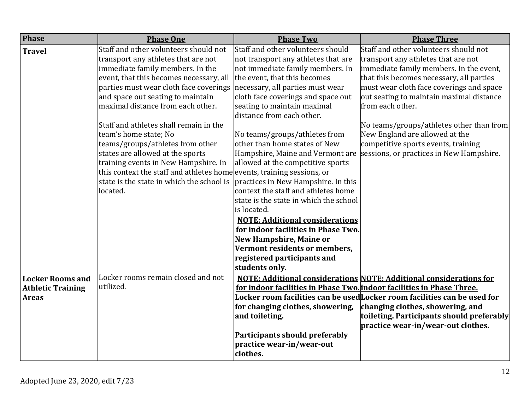| <b>Phase</b>             | <b>Phase One</b>                                                       | <b>Phase Two</b>                                                      | <b>Phase Three</b>                                                            |
|--------------------------|------------------------------------------------------------------------|-----------------------------------------------------------------------|-------------------------------------------------------------------------------|
| <b>Travel</b>            | Staff and other volunteers should not                                  | Staff and other volunteers should                                     | Staff and other volunteers should not                                         |
|                          | transport any athletes that are not                                    | not transport any athletes that are                                   | transport any athletes that are not                                           |
|                          | immediate family members. In the                                       | not immediate family members. In                                      | immediate family members. In the event,                                       |
|                          | event, that this becomes necessary, all                                | the event, that this becomes                                          | that this becomes necessary, all parties                                      |
|                          | parties must wear cloth face coverings                                 | necessary, all parties must wear                                      | must wear cloth face coverings and space                                      |
|                          | and space out seating to maintain                                      | cloth face coverings and space out                                    | out seating to maintain maximal distance                                      |
|                          | maximal distance from each other.                                      | seating to maintain maximal                                           | from each other.                                                              |
|                          |                                                                        | distance from each other.                                             |                                                                               |
|                          | Staff and athletes shall remain in the                                 |                                                                       | No teams/groups/athletes other than from                                      |
|                          | team's home state; No                                                  | No teams/groups/athletes from                                         | New England are allowed at the                                                |
|                          | teams/groups/athletes from other                                       | other than home states of New                                         | competitive sports events, training                                           |
|                          | states are allowed at the sports                                       | Hampshire, Maine and Vermont are                                      | sessions, or practices in New Hampshire.                                      |
|                          | training events in New Hampshire. In                                   | allowed at the competitive sports                                     |                                                                               |
|                          | this context the staff and athletes home events, training sessions, or |                                                                       |                                                                               |
|                          | state is the state in which the school is                              | practices in New Hampshire. In this                                   |                                                                               |
|                          | located.                                                               | context the staff and athletes home                                   |                                                                               |
|                          |                                                                        | state is the state in which the school                                |                                                                               |
|                          |                                                                        | is located.                                                           |                                                                               |
|                          |                                                                        | <b>NOTE: Additional considerations</b>                                |                                                                               |
|                          |                                                                        | for indoor facilities in Phase Two.                                   |                                                                               |
|                          |                                                                        | <b>New Hampshire, Maine or</b>                                        |                                                                               |
|                          |                                                                        | Vermont residents or members,                                         |                                                                               |
|                          |                                                                        | registered participants and<br>students only.                         |                                                                               |
|                          | Locker rooms remain closed and not                                     |                                                                       |                                                                               |
| <b>Locker Rooms and</b>  | utilized.                                                              |                                                                       | <b>NOTE: Additional considerations NOTE: Additional considerations for</b>    |
| <b>Athletic Training</b> |                                                                        | for indoor facilities in Phase Two. indoor facilities in Phase Three. | Locker room facilities can be used Locker room facilities can be used for     |
| <b>Areas</b>             |                                                                        |                                                                       |                                                                               |
|                          |                                                                        | for changing clothes, showering,<br>and toileting.                    | changing clothes, showering, and<br>toileting. Participants should preferably |
|                          |                                                                        |                                                                       | practice wear-in/wear-out clothes.                                            |
|                          |                                                                        | Participants should preferably                                        |                                                                               |
|                          |                                                                        | practice wear-in/wear-out                                             |                                                                               |
|                          |                                                                        | clothes.                                                              |                                                                               |
|                          |                                                                        |                                                                       |                                                                               |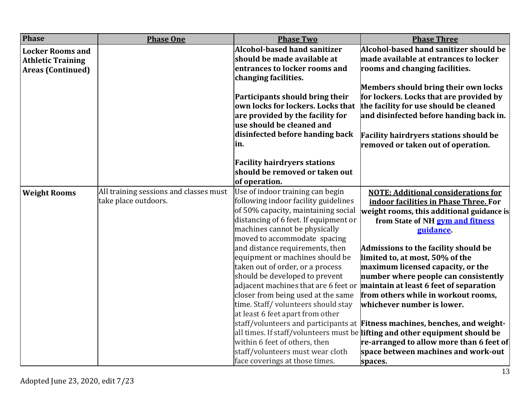| <b>Phase</b>             | <b>Phase One</b>                       | <b>Phase Two</b>                      | <b>Phase Three</b>                                                           |
|--------------------------|----------------------------------------|---------------------------------------|------------------------------------------------------------------------------|
| <b>Locker Rooms and</b>  |                                        | <b>Alcohol-based hand sanitizer</b>   | Alcohol-based hand sanitizer should be                                       |
| <b>Athletic Training</b> |                                        | should be made available at           | made available at entrances to locker                                        |
| <b>Areas (Continued)</b> |                                        | entrances to locker rooms and         | rooms and changing facilities.                                               |
|                          |                                        | changing facilities.                  |                                                                              |
|                          |                                        |                                       | Members should bring their own locks                                         |
|                          |                                        | Participants should bring their       | for lockers. Locks that are provided by                                      |
|                          |                                        | own locks for lockers. Locks that     | the facility for use should be cleaned                                       |
|                          |                                        | are provided by the facility for      | and disinfected before handing back in.                                      |
|                          |                                        | use should be cleaned and             |                                                                              |
|                          |                                        | disinfected before handing back       | <b>Facility hairdryers stations should be</b>                                |
|                          |                                        | in.                                   | removed or taken out of operation.                                           |
|                          |                                        | <b>Facility hairdryers stations</b>   |                                                                              |
|                          |                                        | should be removed or taken out        |                                                                              |
|                          |                                        | of operation.                         |                                                                              |
| <b>Weight Rooms</b>      | All training sessions and classes must | Use of indoor training can begin      | <b>NOTE: Additional considerations for</b>                                   |
|                          | take place outdoors.                   | following indoor facility guidelines  | indoor facilities in Phase Three. For                                        |
|                          |                                        | of 50% capacity, maintaining social   | weight rooms, this additional guidance is                                    |
|                          |                                        | distancing of 6 feet. If equipment or | from State of NH gym and fitness                                             |
|                          |                                        | machines cannot be physically         | guidance.                                                                    |
|                          |                                        | moved to accommodate spacing          |                                                                              |
|                          |                                        | and distance requirements, then       | Admissions to the facility should be                                         |
|                          |                                        | equipment or machines should be       | limited to, at most, 50% of the                                              |
|                          |                                        | taken out of order, or a process      | maximum licensed capacity, or the                                            |
|                          |                                        | should be developed to prevent        | number where people can consistently                                         |
|                          |                                        |                                       | adjacent machines that are 6 feet or maintain at least 6 feet of separation  |
|                          |                                        | closer from being used at the same    | from others while in workout rooms,                                          |
|                          |                                        | time. Staff/volunteers should stay    | whichever number is lower.                                                   |
|                          |                                        | at least 6 feet apart from other      |                                                                              |
|                          |                                        |                                       | staff/volunteers and participants at Fitness machines, benches, and weight-  |
|                          |                                        |                                       | all times. If staff/volunteers must be lifting and other equipment should be |
|                          |                                        | within 6 feet of others, then         | re-arranged to allow more than 6 feet of                                     |
|                          |                                        | staff/volunteers must wear cloth      | space between machines and work-out                                          |
|                          |                                        | face coverings at those times.        | spaces.                                                                      |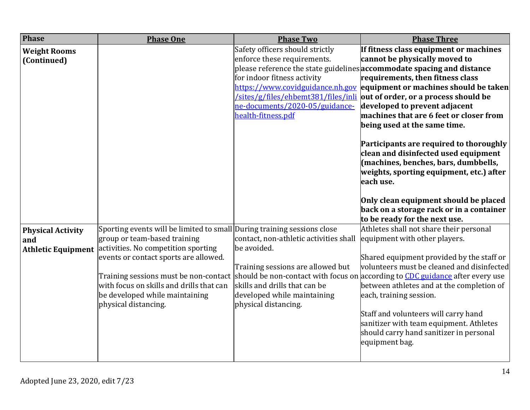| <b>Phase</b>                                                 | <b>Phase One</b>                                                                                                                                                                                                                                                                                                                       | <b>Phase Two</b>                                                                                                                                                                   | <b>Phase Three</b>                                                                                                                                                                                                                                                                                                                                                                                                                                                                                                                                                                                                                                                                                                               |
|--------------------------------------------------------------|----------------------------------------------------------------------------------------------------------------------------------------------------------------------------------------------------------------------------------------------------------------------------------------------------------------------------------------|------------------------------------------------------------------------------------------------------------------------------------------------------------------------------------|----------------------------------------------------------------------------------------------------------------------------------------------------------------------------------------------------------------------------------------------------------------------------------------------------------------------------------------------------------------------------------------------------------------------------------------------------------------------------------------------------------------------------------------------------------------------------------------------------------------------------------------------------------------------------------------------------------------------------------|
| <b>Weight Rooms</b><br>(Continued)                           |                                                                                                                                                                                                                                                                                                                                        | Safety officers should strictly<br>enforce these requirements.<br>for indoor fitness activity<br>ne-documents/2020-05/guidance-<br>health-fitness.pdf                              | If fitness class equipment or machines<br>cannot be physically moved to<br>please reference the state guidelines accommodate spacing and distance<br>requirements, then fitness class<br>https://www.covidguidance.nh.gov equipment or machines should be taken<br>/sites/g/files/ehbemt381/files/inli out of order, or a process should be<br>developed to prevent adjacent<br>machines that are 6 feet or closer from<br>being used at the same time.<br>Participants are required to thoroughly<br>clean and disinfected used equipment<br>(machines, benches, bars, dumbbells,<br>weights, sporting equipment, etc.) after<br>each use.<br>Only clean equipment should be placed<br>back on a storage rack or in a container |
| <b>Physical Activity</b><br>and<br><b>Athletic Equipment</b> | Sporting events will be limited to small During training sessions close<br>group or team-based training<br>activities. No competition sporting<br>events or contact sports are allowed.<br>Training sessions must be non-contact<br>with focus on skills and drills that can<br>be developed while maintaining<br>physical distancing. | contact, non-athletic activities shall<br>be avoided.<br>Training sessions are allowed but<br>skills and drills that can be<br>developed while maintaining<br>physical distancing. | to be ready for the next use.<br>Athletes shall not share their personal<br>equipment with other players.<br>Shared equipment provided by the staff or<br>volunteers must be cleaned and disinfected<br>should be non-contact with focus on according to CDC guidance after every use<br>between athletes and at the completion of<br>each, training session.<br>Staff and volunteers will carry hand<br>sanitizer with team equipment. Athletes<br>should carry hand sanitizer in personal<br>equipment bag.                                                                                                                                                                                                                    |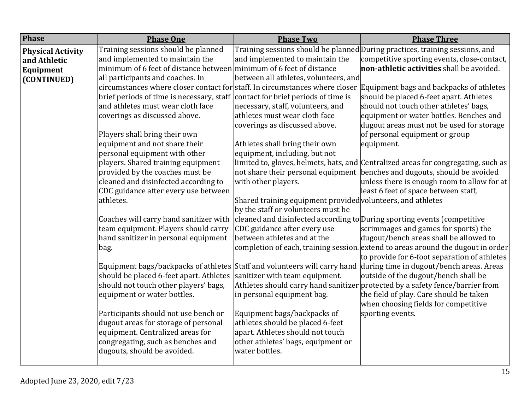| <b>Phase</b>             | <b>Phase One</b>                                                    | <b>Phase Two</b>                                                         | <b>Phase Three</b>                                                                                                                                                 |
|--------------------------|---------------------------------------------------------------------|--------------------------------------------------------------------------|--------------------------------------------------------------------------------------------------------------------------------------------------------------------|
| <b>Physical Activity</b> | Training sessions should be planned                                 |                                                                          | Training sessions should be planned During practices, training sessions, and                                                                                       |
| and Athletic             | and implemented to maintain the                                     | and implemented to maintain the                                          | competitive sporting events, close-contact,                                                                                                                        |
| Equipment                | minimum of 6 feet of distance between minimum of 6 feet of distance |                                                                          | non-athletic activities shall be avoided.                                                                                                                          |
| (CONTINUED)              | all participants and coaches. In                                    | between all athletes, volunteers, and                                    |                                                                                                                                                                    |
|                          |                                                                     |                                                                          | circumstances where closer contact for staff. In circumstances where closer Equipment bags and backpacks of athletes                                               |
|                          | brief periods of time is necessary, staff                           | contact for brief periods of time is                                     | should be placed 6-feet apart. Athletes                                                                                                                            |
|                          | and athletes must wear cloth face                                   | necessary, staff, volunteers, and                                        | should not touch other athletes' bags,                                                                                                                             |
|                          | coverings as discussed above.                                       | athletes must wear cloth face                                            | equipment or water bottles. Benches and                                                                                                                            |
|                          |                                                                     | coverings as discussed above.                                            | dugout areas must not be used for storage                                                                                                                          |
|                          | Players shall bring their own                                       |                                                                          | of personal equipment or group                                                                                                                                     |
|                          | equipment and not share their                                       | Athletes shall bring their own                                           | equipment.                                                                                                                                                         |
|                          | personal equipment with other                                       | equipment, including, but not                                            |                                                                                                                                                                    |
|                          | players. Shared training equipment                                  |                                                                          | limited to, gloves, helmets, bats, and Centralized areas for congregating, such as                                                                                 |
|                          | provided by the coaches must be                                     | not share their personal equipment                                       | benches and dugouts, should be avoided                                                                                                                             |
|                          | cleaned and disinfected according to                                | with other players.                                                      | unless there is enough room to allow for at                                                                                                                        |
|                          | CDC guidance after every use between                                |                                                                          | least 6 feet of space between staff,                                                                                                                               |
|                          | athletes.                                                           | Shared training equipment provided volunteers, and athletes              |                                                                                                                                                                    |
|                          |                                                                     | by the staff or volunteers must be                                       |                                                                                                                                                                    |
|                          | Coaches will carry hand sanitizer with                              | cleaned and disinfected according to During sporting events (competitive |                                                                                                                                                                    |
|                          | team equipment. Players should carry                                | CDC guidance after every use                                             | scrimmages and games for sports) the                                                                                                                               |
|                          | hand sanitizer in personal equipment                                | between athletes and at the                                              | dugout/bench areas shall be allowed to                                                                                                                             |
|                          | bag.                                                                |                                                                          | completion of each, training session. extend to areas around the dugout in order                                                                                   |
|                          |                                                                     |                                                                          | to provide for 6-foot separation of athletes<br>Equipment bags/backpacks of athletes Staff and volunteers will carry hand during time in dugout/bench areas. Areas |
|                          | should be placed 6-feet apart. Athletes                             | sanitizer with team equipment.                                           | outside of the dugout/bench shall be                                                                                                                               |
|                          | should not touch other players' bags,                               |                                                                          | Athletes should carry hand sanitizer protected by a safety fence/barrier from                                                                                      |
|                          | equipment or water bottles.                                         | in personal equipment bag.                                               | the field of play. Care should be taken                                                                                                                            |
|                          |                                                                     |                                                                          | when choosing fields for competitive                                                                                                                               |
|                          | Participants should not use bench or                                | Equipment bags/backpacks of                                              | sporting events.                                                                                                                                                   |
|                          | dugout areas for storage of personal                                | athletes should be placed 6-feet                                         |                                                                                                                                                                    |
|                          | equipment. Centralized areas for                                    | apart. Athletes should not touch                                         |                                                                                                                                                                    |
|                          | congregating, such as benches and                                   | other athletes' bags, equipment or                                       |                                                                                                                                                                    |
|                          | dugouts, should be avoided.                                         | water bottles.                                                           |                                                                                                                                                                    |
|                          |                                                                     |                                                                          |                                                                                                                                                                    |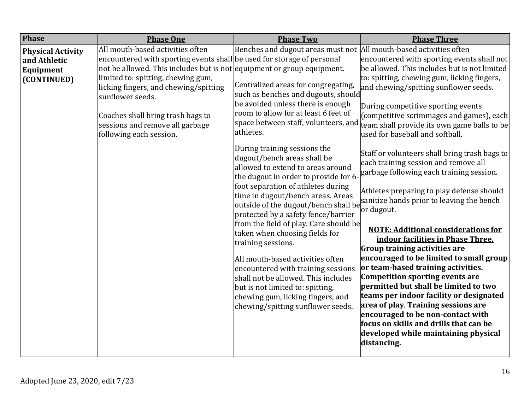| <b>Phase</b>                                                         | <b>Phase One</b>                                                                                                                                                                                                                                                                                                                                                                           | <b>Phase Two</b>                                                                                                                                                                                                                                                                                                                                                                                                                                                                                                                                                                                                                                                                                                                                                                                                                                  | <b>Phase Three</b>                                                                                                                                                                                                                                                                                                                                                                                                                                                                                                                                                                                                                                                                                                                                                                                                                                                                                                                                                                                                                                                                                                                                                                                             |
|----------------------------------------------------------------------|--------------------------------------------------------------------------------------------------------------------------------------------------------------------------------------------------------------------------------------------------------------------------------------------------------------------------------------------------------------------------------------------|---------------------------------------------------------------------------------------------------------------------------------------------------------------------------------------------------------------------------------------------------------------------------------------------------------------------------------------------------------------------------------------------------------------------------------------------------------------------------------------------------------------------------------------------------------------------------------------------------------------------------------------------------------------------------------------------------------------------------------------------------------------------------------------------------------------------------------------------------|----------------------------------------------------------------------------------------------------------------------------------------------------------------------------------------------------------------------------------------------------------------------------------------------------------------------------------------------------------------------------------------------------------------------------------------------------------------------------------------------------------------------------------------------------------------------------------------------------------------------------------------------------------------------------------------------------------------------------------------------------------------------------------------------------------------------------------------------------------------------------------------------------------------------------------------------------------------------------------------------------------------------------------------------------------------------------------------------------------------------------------------------------------------------------------------------------------------|
| <b>Physical Activity</b><br>and Athletic<br>Equipment<br>(CONTINUED) | All mouth-based activities often<br>encountered with sporting events shall be used for storage of personal<br>not be allowed. This includes but is not equipment or group equipment.<br>limited to: spitting, chewing gum,<br>licking fingers, and chewing/spitting<br>sunflower seeds.<br>Coaches shall bring trash bags to<br>sessions and remove all garbage<br>following each session. | Benches and dugout areas must not<br>Centralized areas for congregating,<br>such as benches and dugouts, should<br>be avoided unless there is enough<br>room to allow for at least 6 feet of<br>space between staff, volunteers, and<br>athletes.<br>During training sessions the<br>dugout/bench areas shall be<br>allowed to extend to areas around<br>the dugout in order to provide for 6-<br>foot separation of athletes during<br>time in dugout/bench areas. Areas<br>protected by a safety fence/barrier<br>from the field of play. Care should be<br>taken when choosing fields for<br>training sessions.<br>All mouth-based activities often<br>encountered with training sessions<br>shall not be allowed. This includes<br>but is not limited to: spitting,<br>chewing gum, licking fingers, and<br>chewing/spitting sunflower seeds. | All mouth-based activities often<br>encountered with sporting events shall not<br>be allowed. This includes but is not limited<br>to: spitting, chewing gum, licking fingers,<br>and chewing/spitting sunflower seeds.<br>During competitive sporting events<br>(competitive scrimmages and games), each<br>team shall provide its own game balls to be<br>used for baseball and softball.<br>Staff or volunteers shall bring trash bags to<br>each training session and remove all<br>garbage following each training session.<br>Athletes preparing to play defense should<br>outside of the dugout/bench shall be $\begin{bmatrix}$ sanitize hands prior to leaving the bench<br>or dugout.<br><b>NOTE: Additional considerations for</b><br>indoor facilities in Phase Three.<br>Group training activities are<br>encouraged to be limited to small group<br>or team-based training activities.<br><b>Competition sporting events are</b><br>permitted but shall be limited to two<br>teams per indoor facility or designated<br>area of play. Training sessions are<br>encouraged to be non-contact with<br>focus on skills and drills that can be<br>developed while maintaining physical<br>distancing. |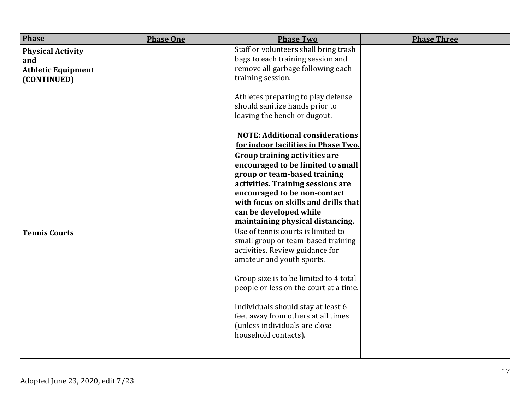| <b>Phase</b>              | <b>Phase One</b> | <b>Phase Two</b>                       | <b>Phase Three</b> |
|---------------------------|------------------|----------------------------------------|--------------------|
| <b>Physical Activity</b>  |                  | Staff or volunteers shall bring trash  |                    |
| and                       |                  | bags to each training session and      |                    |
| <b>Athletic Equipment</b> |                  | remove all garbage following each      |                    |
| (CONTINUED)               |                  | training session.                      |                    |
|                           |                  |                                        |                    |
|                           |                  | Athletes preparing to play defense     |                    |
|                           |                  | should sanitize hands prior to         |                    |
|                           |                  | leaving the bench or dugout.           |                    |
|                           |                  | <b>NOTE: Additional considerations</b> |                    |
|                           |                  | for indoor facilities in Phase Two.    |                    |
|                           |                  | <b>Group training activities are</b>   |                    |
|                           |                  | encouraged to be limited to small      |                    |
|                           |                  | group or team-based training           |                    |
|                           |                  | activities. Training sessions are      |                    |
|                           |                  | encouraged to be non-contact           |                    |
|                           |                  | with focus on skills and drills that   |                    |
|                           |                  | can be developed while                 |                    |
|                           |                  | maintaining physical distancing.       |                    |
| <b>Tennis Courts</b>      |                  | Use of tennis courts is limited to     |                    |
|                           |                  | small group or team-based training     |                    |
|                           |                  | activities. Review guidance for        |                    |
|                           |                  | amateur and youth sports.              |                    |
|                           |                  | Group size is to be limited to 4 total |                    |
|                           |                  | people or less on the court at a time. |                    |
|                           |                  |                                        |                    |
|                           |                  | Individuals should stay at least 6     |                    |
|                           |                  | feet away from others at all times     |                    |
|                           |                  | (unless individuals are close          |                    |
|                           |                  | household contacts).                   |                    |
|                           |                  |                                        |                    |
|                           |                  |                                        |                    |